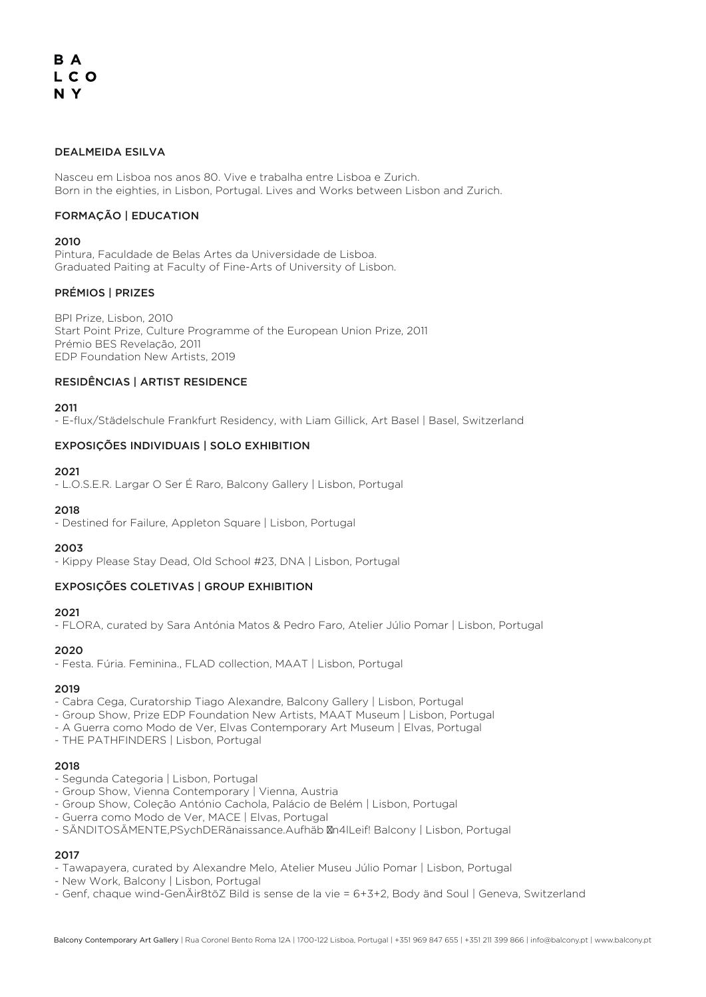# B A LCO N Y

## DEALMEIDA ESILVA

Nasceu em Lisboa nos anos 80. Vive e trabalha entre Lisboa e Zurich. Born in the eighties, in Lisbon, Portugal. Lives and Works between Lisbon and Zurich.

#### FORMAÇÃO | EDUCATION

#### $2010$

Pintura, Faculdade de Belas Artes da Universidade de Lisboa. Graduated Paiting at Faculty of Fine-Arts of University of Lisbon.

#### PRÉMIOS | PRIZES

BPI Prize, Lisbon, 2010 Start Point Prize, Culture Programme of the European Union Prize, 2011 Prémio BES Revelação, 2011 EDP Foundation New Artists, 2019

#### RESIDÊNCIAS | ARTIST RESIDENCE

2011

- E-flux/Städelschule Frankfurt Residency, with Liam Gillick, Art Basel | Basel, Switzerland

#### EXPOSIÇÕES INDIVIDUAIS | SOLO EXHIBITION

#### 2021

- L.O.S.E.R. Largar O Ser É Raro, Balcony Gallery | Lisbon, Portugal

#### 2018

- Destined for Failure, Appleton Square | Lisbon, Portugal

#### 2003

- Kippy Please Stay Dead, Old School #23, DNA | Lisbon, Portugal

#### EXPOSIÇÕES COLETIVAS | GROUP EXHIBITION

#### 2021

- FLORA, curated by Sara Antónia Matos & Pedro Faro, Atelier Júlio Pomar | Lisbon, Portugal

#### 2020

- Festa. Fúria. Feminina., FLAD collection, MAAT | Lisbon, Portugal

#### 2019

- Cabra Cega, Curatorship Tiago Alexandre, Balcony Gallery | Lisbon, Portugal

- Group Show, Prize EDP Foundation New Artists, MAAT Museum | Lisbon, Portugal
- A Guerra como Modo de Ver, Elvas Contemporary Art Museum | Elvas, Portugal
- THE PATHFINDERS | Lisbon, Portugal

#### 2018

- Segunda Categoria | Lisbon, Portugal
- Group Show, Vienna Contemporary | Vienna, Austria
- Group Show, Coleção António Cachola, Palácio de Belém | Lisbon, Portugal
- Guerra como Modo de Ver, MACE | Elvas, Portugal
- SÄNDITOSÄMENTE,PSychDERänaissance.Aufhäb n4lLeif! Balcony | Lisbon, Portugal

## 2017

- Tawapayera, curated by Alexandre Melo, Atelier Museu Júlio Pomar | Lisbon, Portugal
- New Work, Balcony | Lisbon, Portugal
- Genf, chaque wind-GenÄir8töZ Bild is sense de la vie = 6+3+2, Body änd Soul | Geneva, Switzerland